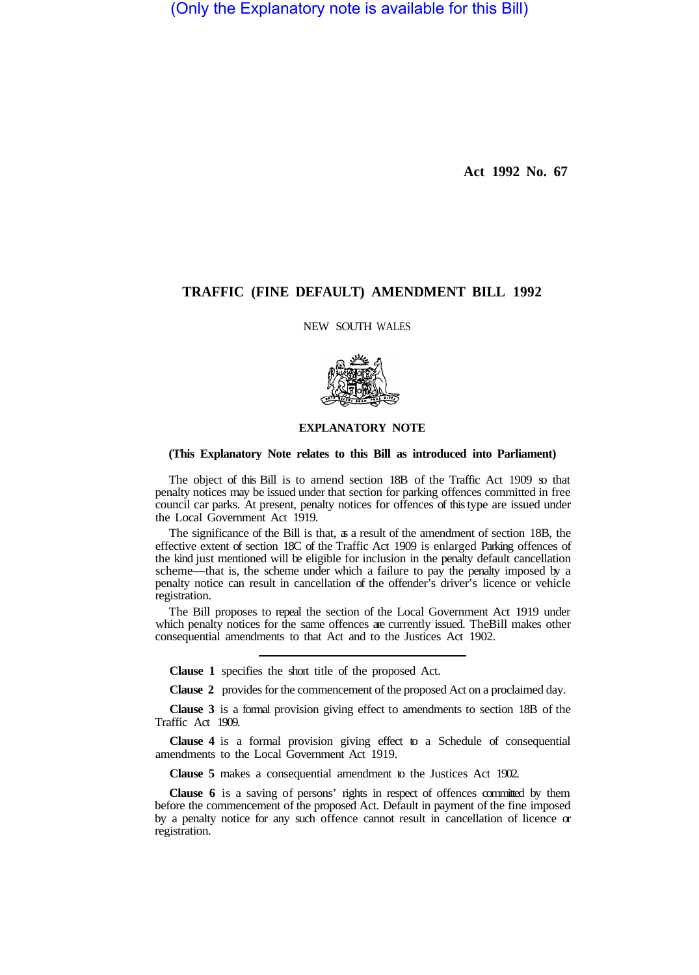(Only the Explanatory note is available for this Bill)

**Act 1992 No. 67** 

## **TRAFFIC (FINE DEFAULT) AMENDMENT BILL 1992**

NEW SOUTH WALES



## **EXPLANATORY NOTE**

## **(This Explanatory Note relates to this Bill as introduced into Parliament)**

The object of this Bill is to amend section 18B of the Traffic Act 1909 so that penalty notices may be issued under that section for parking offences committed in free council car parks. At present, penalty notices for offences of this type are issued under the Local Government Act 1919.

The significance of the Bill is that, as a result of the amendment of section 18B, the effective extent of section 18C of the Traffic Act 1909 is enlarged Parking offences of the kind just mentioned will be eligible for inclusion in the penalty default cancellation scheme—that is, the scheme under which a failure to pay the penalty imposed by a penalty notice can result in cancellation of the offender's driver's licence or vehicle registration.

The Bill proposes to repeal the section of the Local Government Act 1919 under which penalty notices for the same offences are currently issued. The Bill makes other consequential amendments to that Act and to the Justices Act 1902.

**Clause 1** specifies the short title of the proposed Act.

**Clause 2** provides for the commencement of the proposed Act on a proclaimed day.

**Clause 3** is a formal provision giving effect to amendments to section 18B of the Traffic Act 1909.

**Clause 4** is a formal provision giving effect to a Schedule of consequential amendments to the Local Government Act 1919.

**Clause 5** makes a consequential amendment to the Justices Act 1902.

**Clause 6** is a saving of persons' rights in respect of offences committed by them before the commencement of the proposed Act. Default in payment of the fine imposed by a penalty notice for any such offence cannot result in cancellation of licence or registration.